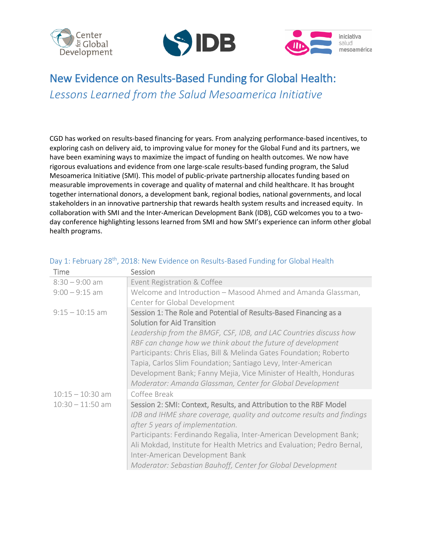





## New Evidence on Results-Based Funding for Global Health: *Lessons Learned from the Salud Mesoamerica Initiative*

CGD has worked on results-based financing for years. Fro[m analyzing performance-based incentives,](https://www.cgdev.org/page/performance-based-incentives) to [exploring cash on delivery aid,](https://www.cgdev.org/initiative/cash-delivery-aid) t[o improving value for money for the Global Fund and its partners,](https://www.cgdev.org/publication/more-health-money-putting-incentives-work-global-fund-and-its-partners) we have been examining ways to maximize the impact of funding on health outcomes. We now have rigorous evaluations and evidence from one large-scale results-based funding program, the Salud Mesoamerica Initiative (SMI). This model of public-private partnership allocates funding based on measurable improvements in coverage and quality of maternal and child healthcare. It has brought together international donors, a development bank, regional bodies, national governments, and local stakeholders in an innovative partnership that rewards health system results and increased equity. In collaboration with SMI and the Inter-American Development Bank (IDB), CGD welcomes you to a twoday conference highlighting lessons learned from SMI and how SMI's experience can inform other global health programs.

| <b>Time</b>        | Session                                                                |
|--------------------|------------------------------------------------------------------------|
| $8:30 - 9:00$ am   | Event Registration & Coffee                                            |
| $9:00 - 9:15$ am   | Welcome and Introduction - Masood Ahmed and Amanda Glassman,           |
|                    | Center for Global Development                                          |
| $9:15 - 10:15$ am  | Session 1: The Role and Potential of Results-Based Financing as a      |
|                    | <b>Solution for Aid Transition</b>                                     |
|                    | Leadership from the BMGF, CSF, IDB, and LAC Countries discuss how      |
|                    | RBF can change how we think about the future of development            |
|                    | Participants: Chris Elias, Bill & Melinda Gates Foundation; Roberto    |
|                    | Tapia, Carlos Slim Foundation; Santiago Levy, Inter-American           |
|                    | Development Bank; Fanny Mejia, Vice Minister of Health, Honduras       |
|                    | Moderator: Amanda Glassman, Center for Global Development              |
| $10:15 - 10:30$ am | Coffee Break                                                           |
| $10:30 - 11:50$ am | Session 2: SMI: Context, Results, and Attribution to the RBF Model     |
|                    | IDB and IHME share coverage, quality and outcome results and findings  |
|                    | after 5 years of implementation.                                       |
|                    | Participants: Ferdinando Regalia, Inter-American Development Bank;     |
|                    | Ali Mokdad, Institute for Health Metrics and Evaluation; Pedro Bernal, |
|                    | Inter-American Development Bank                                        |
|                    | Moderator: Sebastian Bauhoff, Center for Global Development            |

## Day 1: February 28<sup>th</sup>, 2018: New Evidence on Results-Based Funding for Global Health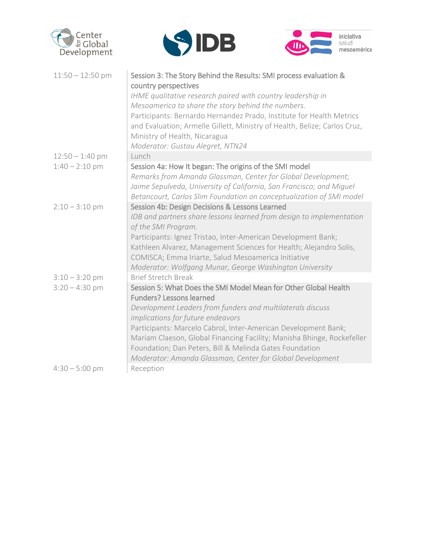





| $11:50 - 12:50$ pm | Session 3: The Story Behind the Results: SMI process evaluation &<br>country perspectives          |
|--------------------|----------------------------------------------------------------------------------------------------|
|                    | IHME qualitative research paired with country leadership in                                        |
|                    | Mesoamerica to share the story behind the numbers.                                                 |
|                    | Participants: Bernardo Hernandez Prado, Institute for Health Metrics                               |
|                    | and Evaluation; Armelle Gillett, Ministry of Health, Belize; Carlos Cruz,                          |
|                    | Ministry of Health, Nicaragua                                                                      |
|                    | Moderator: Gustau Alegret, NTN24                                                                   |
| $12:50 - 1:40$ pm  | Lunch                                                                                              |
| $1:40 - 2:10$ pm   | Session 4a: How It began: The origins of the SMI model                                             |
|                    | Remarks from Amanda Glassman, Center for Global Development;                                       |
|                    | Jaime Sepulveda, University of California, San Francisco; and Miguel                               |
|                    | Betancourt, Carlos Slim Foundation on conceptualization of SMI model                               |
| $2:10 - 3:10$ pm   | Session 4b: Design Decisions & Lessons Learned                                                     |
|                    | IDB and partners share lessons learned from design to implementation<br>of the SMI Program.        |
|                    | Participants: Ignez Tristao, Inter-American Development Bank;                                      |
|                    | Kathleen Alvarez, Management Sciences for Health; Alejandro Solis,                                 |
|                    | COMISCA; Emma Iriarte, Salud Mesoamerica Initiative                                                |
|                    | Moderator: Wolfgang Munar, George Washington University                                            |
| $3:10 - 3:20$ pm   | <b>Brief Stretch Break</b>                                                                         |
| $3:20 - 4:30$ pm   | Session 5: What Does the SMI Model Mean for Other Global Health<br><b>Funders? Lessons learned</b> |
|                    | Development Leaders from funders and multilaterals discuss                                         |
|                    | implications for future endeavors                                                                  |
|                    | Participants: Marcelo Cabrol, Inter-American Development Bank;                                     |
|                    | Mariam Claeson, Global Financing Facility; Manisha Bhinge, Rockefeller                             |
|                    | Foundation; Dan Peters, Bill & Melinda Gates Foundation                                            |
|                    | Moderator: Amanda Glassman, Center for Global Development                                          |
| $4:30 - 5:00$ pm   | Reception                                                                                          |
|                    |                                                                                                    |